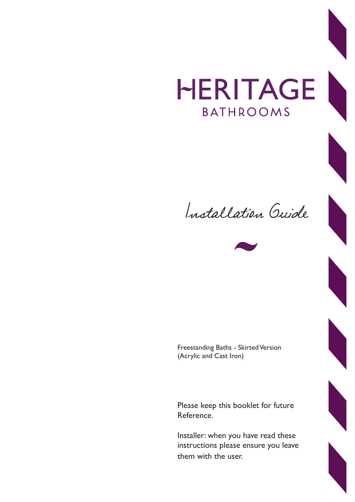## HERITAGE **BATHROOMS**





Freestanding Baths - Skirted Version (Acrylic and Cast Iron)

Please keep this booklet for future Reference.

Installer: when you have read these instructions please ensure you leave them with the user.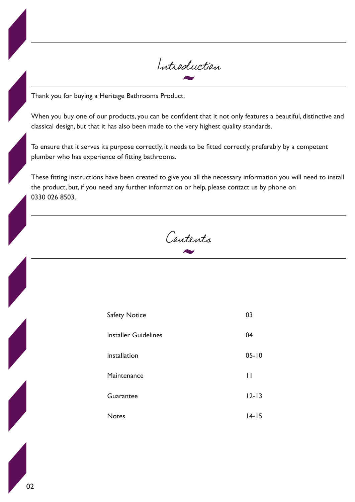

Thank you for buying a Heritage Bathrooms Product.

When you buy one of our products, you can be confident that it not only features a beautiful, distinctive and classical design, but that it has also been made to the very highest quality standards.

To ensure that it serves its purpose correctly, it needs to be fitted correctly, preferably by a competent plumber who has experience of fitting bathrooms.

These fitting instructions have been created to give you all the necessary information you will need to install the product, but, if you need any further information or help, please contact us by phone on 0330 026 8503.

Contents

| <b>Safety Notice</b>        | 03        |
|-----------------------------|-----------|
| <b>Installer Guidelines</b> | 04        |
| Installation                | $05 - 10$ |
| Maintenance                 | Н         |
| Guarantee                   | $12 - 13$ |
| <b>Notes</b>                | $14 - 15$ |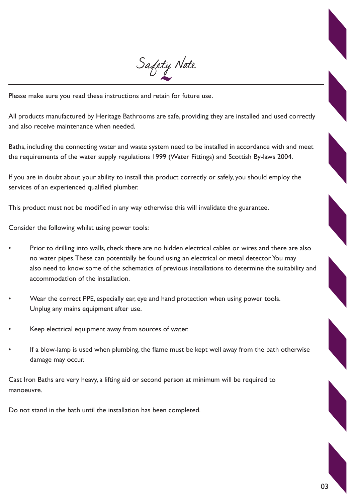

Please make sure you read these instructions and retain for future use.

All products manufactured by Heritage Bathrooms are safe, providing they are installed and used correctly and also receive maintenance when needed.

Baths, including the connecting water and waste system need to be installed in accordance with and meet the requirements of the water supply regulations 1999 (Water Fittings) and Scottish By-laws 2004.

If you are in doubt about your ability to install this product correctly or safely, you should employ the services of an experienced qualified plumber.

This product must not be modified in any way otherwise this will invalidate the guarantee.

Consider the following whilst using power tools:

- Prior to drilling into walls, check there are no hidden electrical cables or wires and there are also no water pipes. These can potentially be found using an electrical or metal detector. You may also need to know some of the schematics of previous installations to determine the suitability and accommodation of the installation.
- Wear the correct PPE, especially ear, eye and hand protection when using power tools. Unplug any mains equipment after use.
- Keep electrical equipment away from sources of water.
- If a blow-lamp is used when plumbing, the flame must be kept well away from the bath otherwise damage may occur.

Cast Iron Baths are very heavy, a lifting aid or second person at minimum will be required to manoeuvre.

Do not stand in the bath until the installation has been completed.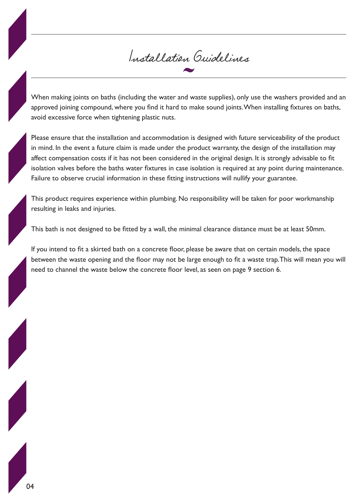## Installation Guidelines

When making joints on baths (including the water and waste supplies), only use the washers provided and an approved joining compound, where you find it hard to make sound joints. When installing fixtures on baths, avoid excessive force when tightening plastic nuts.

Please ensure that the installation and accommodation is designed with future serviceability of the product in mind. In the event a future claim is made under the product warranty, the design of the installation may affect compensation costs if it has not been considered in the original design. It is strongly advisable to fit isolation valves before the baths water fixtures in case isolation is required at any point during maintenance. Failure to observe crucial information in these fitting instructions will nullify your guarantee.

This product requires experience within plumbing. No responsibility will be taken for poor workmanship resulting in leaks and injuries.

This bath is not designed to be fitted by a wall, the minimal clearance distance must be at least 50mm.

If you intend to fit a skirted bath on a concrete floor, please be aware that on certain models, the space between the waste opening and the floor may not be large enough to fit a waste trap. This will mean you will need to channel the waste below the concrete floor level, as seen on page 9 section 6.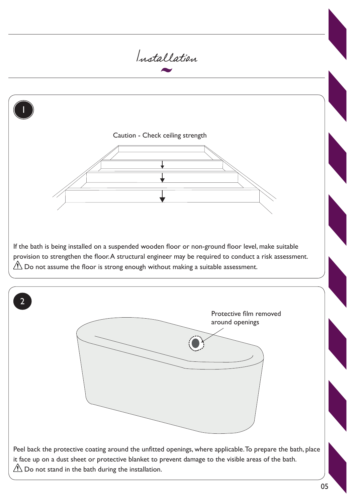

05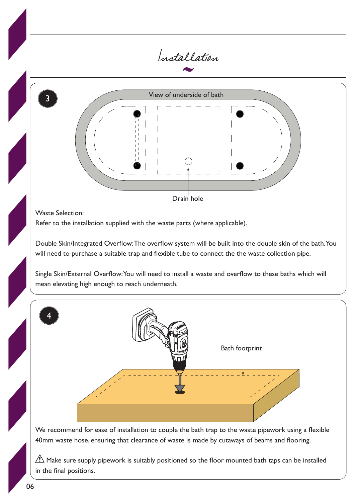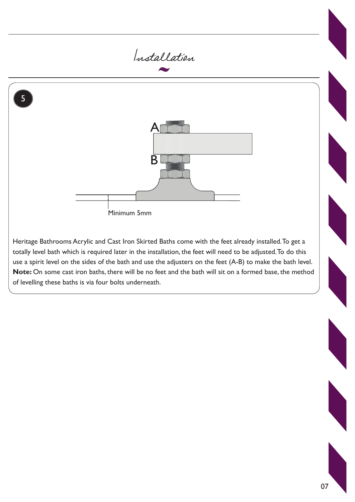

Heritage Bathrooms Acrylic and Cast Iron Skirted Baths come with the feet already installed. To get a totally level bath which is required later in the installation, the feet will need to be adjusted. To do this use a spirit level on the sides of the bath and use the adjusters on the feet (A-B) to make the bath level. **Note:** On some cast iron baths, there will be no feet and the bath will sit on a formed base, the method of levelling these baths is via four bolts underneath.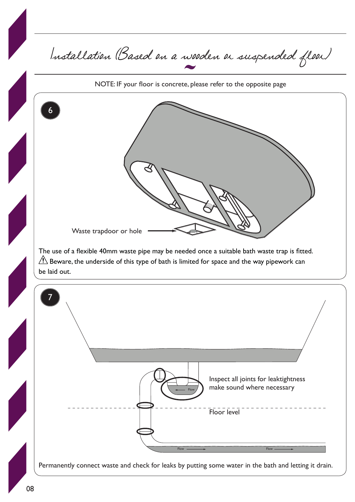Installation (Based on a wooden or suspended floor) The use of a flexible 40mm waste pipe may be needed once a suitable bath waste trap is fitted.  $\sqrt{N}$  Beware, the underside of this type of bath is limited for space and the way pipework can be laid out. Permanently connect waste and check for leaks by putting some water in the bath and letting it drain. NOTE: IF your floor is concrete, please refer to the opposite page 6 7 Flow **Flow Flow** Flow Waste trapdoor or hole Inspect all joints for leaktightness make sound where necessary Floor level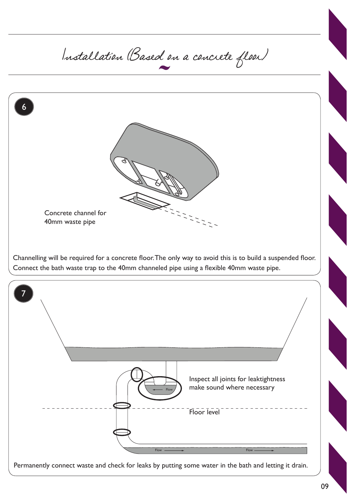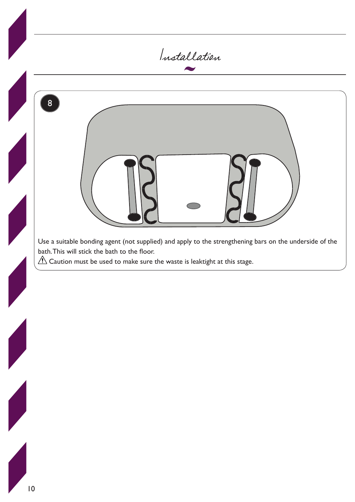

![](_page_9_Figure_1.jpeg)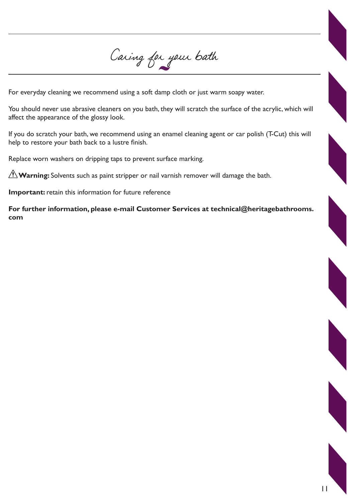Caring for your bath

For everyday cleaning we recommend using a soft damp cloth or just warm soapy water.

You should never use abrasive cleaners on you bath, they will scratch the surface of the acrylic, which will affect the appearance of the glossy look.

If you do scratch your bath, we recommend using an enamel cleaning agent or car polish (T-Cut) this will help to restore your bath back to a lustre finish.

Replace worn washers on dripping taps to prevent surface marking.

**Warning:** Solvents such as paint stripper or nail varnish remover will damage the bath.

**Important:** retain this information for future reference

**For further information, please e-mail Customer Services at technical@heritagebathrooms. com**

11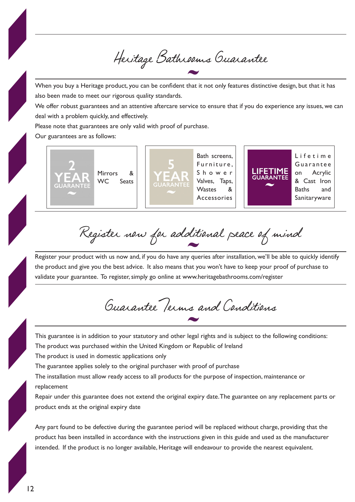Heritage Bathrooms Guarantee

When you buy a Heritage product, you can be confident that it not only features distinctive design, but that it has also been made to meet our rigorous quality standards.

We offer robust guarantees and an attentive aftercare service to ensure that if you do experience any issues, we can deal with a problem quickly, and effectively.

Please note that guarantees are only valid with proof of purchase.

Our guarantees are as follows:

![](_page_11_Picture_5.jpeg)

Register now for additional peace of mind

Register your product with us now and, if you do have any queries after installation, we'll be able to quickly identify the product and give you the best advice. It also means that you won't have to keep your proof of purchase to validate your guarantee. To register, simply go online at www.heritagebathrooms.com/register

Guarantee Terms and Conditions

This guarantee is in addition to your statutory and other legal rights and is subject to the following conditions:

The product was purchased within the United Kingdom or Republic of Ireland

The product is used in domestic applications only

The guarantee applies solely to the original purchaser with proof of purchase

The installation must allow ready access to all products for the purpose of inspection, maintenance or replacement

Repair under this guarantee does not extend the original expiry date. The guarantee on any replacement parts or product ends at the original expiry date

Any part found to be defective during the guarantee period will be replaced without charge, providing that the product has been installed in accordance with the instructions given in this guide and used as the manufacturer intended. If the product is no longer available, Heritage will endeavour to provide the nearest equivalent.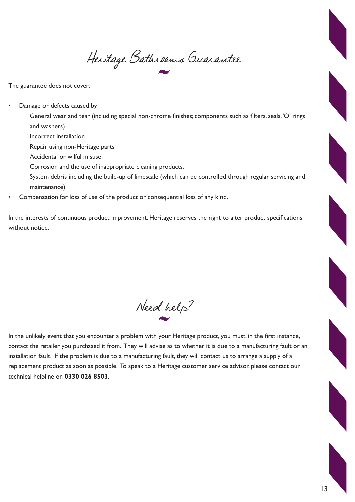Heritage Bathrooms Guarantee

The guarantee does not cover:

Damage or defects caused by

General wear and tear (including special non-chrome finishes; components such as filters, seals, 'O' rings and washers)

- Incorrect installation
- Repair using non-Heritage parts
- Accidental or wilful misuse
- Corrosion and the use of inappropriate cleaning products.
- System debris including the build-up of limescale (which can be controlled through regular servicing and maintenance)
- Compensation for loss of use of the product or consequential loss of any kind.

In the interests of continuous product improvement, Heritage reserves the right to alter product specifications without notice.

Need help?

In the unlikely event that you encounter a problem with your Heritage product, you must, in the first instance, contact the retailer you purchased it from. They will advise as to whether it is due to a manufacturing fault or an installation fault. If the problem is due to a manufacturing fault, they will contact us to arrange a supply of a replacement product as soon as possible. To speak to a Heritage customer service advisor, please contact our technical helpline on **0330 026 8503**.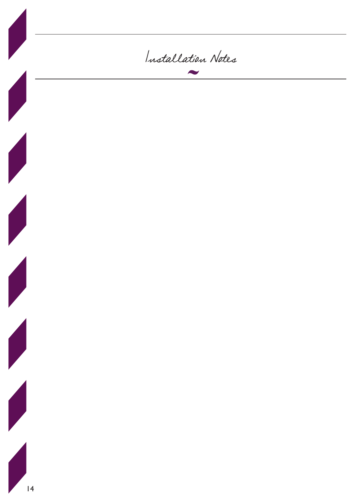![](_page_13_Picture_0.jpeg)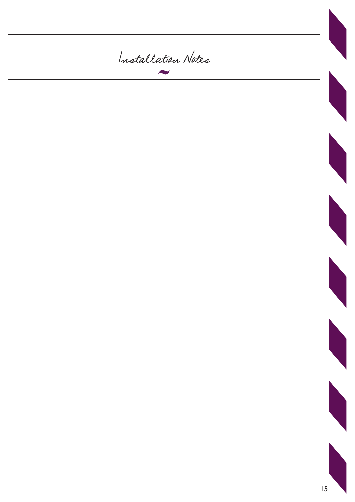![](_page_14_Picture_0.jpeg)

![](_page_14_Picture_1.jpeg)